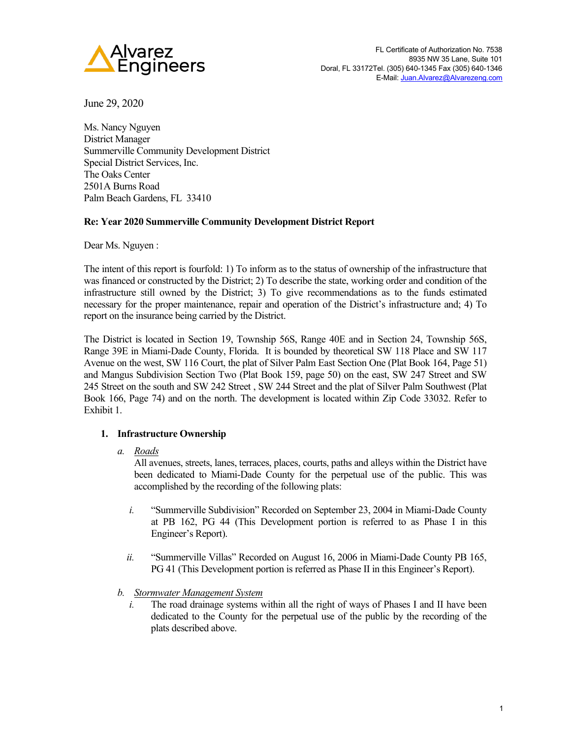

June 29, 2020

Ms. Nancy Nguyen District Manager Summerville Community Development District Special District Services, Inc. The Oaks Center 2501A Burns Road Palm Beach Gardens, FL 33410

# **Re: Year 2020 Summerville Community Development District Report**

Dear Ms. Nguyen :

The intent of this report is fourfold: 1) To inform as to the status of ownership of the infrastructure that was financed or constructed by the District; 2) To describe the state, working order and condition of the infrastructure still owned by the District; 3) To give recommendations as to the funds estimated necessary for the proper maintenance, repair and operation of the District's infrastructure and; 4) To report on the insurance being carried by the District.

The District is located in Section 19, Township 56S, Range 40E and in Section 24, Township 56S, Range 39E in Miami-Dade County, Florida. It is bounded by theoretical SW 118 Place and SW 117 Avenue on the west, SW 116 Court, the plat of Silver Palm East Section One (Plat Book 164, Page 51) and Mangus Subdivision Section Two (Plat Book 159, page 50) on the east, SW 247 Street and SW 245 Street on the south and SW 242 Street , SW 244 Street and the plat of Silver Palm Southwest (Plat Book 166, Page 74) and on the north. The development is located within Zip Code 33032. Refer to Exhibit 1.

# **1. Infrastructure Ownership**

*a. Roads*

All avenues, streets, lanes, terraces, places, courts, paths and alleys within the District have been dedicated to Miami-Dade County for the perpetual use of the public. This was accomplished by the recording of the following plats:

- *i.* "Summerville Subdivision" Recorded on September 23, 2004 in Miami-Dade County at PB 162, PG 44 (This Development portion is referred to as Phase I in this Engineer's Report).
- *ii.* "Summerville Villas" Recorded on August 16, 2006 in Miami-Dade County PB 165, PG 41 (This Development portion is referred as Phase II in this Engineer's Report).
- *b. Stormwater Management System*
	- *i.* The road drainage systems within all the right of ways of Phases I and II have been dedicated to the County for the perpetual use of the public by the recording of the plats described above.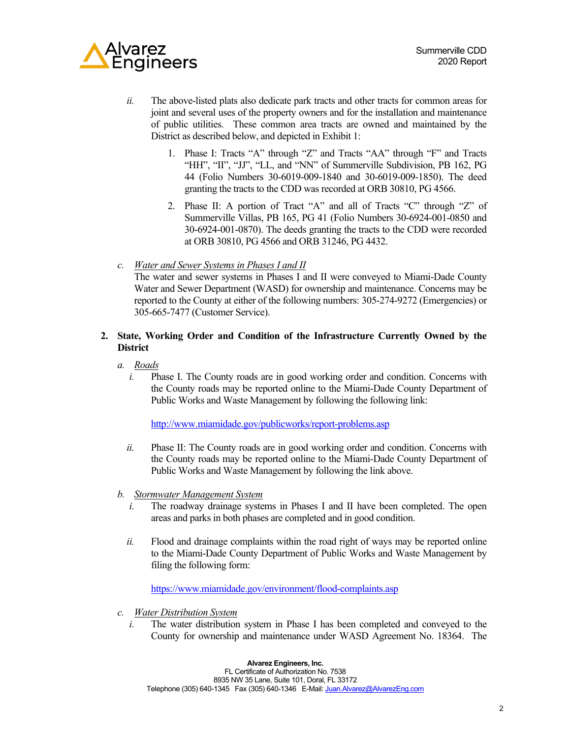

- *ii.* The above-listed plats also dedicate park tracts and other tracts for common areas for joint and several uses of the property owners and for the installation and maintenance of public utilities. These common area tracts are owned and maintained by the District as described below, and depicted in Exhibit 1:
	- 1. Phase I: Tracts "A" through "Z" and Tracts "AA" through "F" and Tracts "HH", "II", "JJ", "LL, and "NN" of Summerville Subdivision, PB 162, PG 44 (Folio Numbers 30-6019-009-1840 and 30-6019-009-1850). The deed granting the tracts to the CDD was recorded at ORB 30810, PG 4566.
	- 2. Phase II: A portion of Tract "A" and all of Tracts "C" through "Z" of Summerville Villas, PB 165, PG 41 (Folio Numbers 30-6924-001-0850 and 30-6924-001-0870). The deeds granting the tracts to the CDD were recorded at ORB 30810, PG 4566 and ORB 31246, PG 4432.
- *c. Water and Sewer Systems in Phases I and II*

The water and sewer systems in Phases I and II were conveyed to Miami-Dade County Water and Sewer Department (WASD) for ownership and maintenance. Concerns may be reported to the County at either of the following numbers: 305-274-9272 (Emergencies) or 305-665-7477 (Customer Service).

# **2. State, Working Order and Condition of the Infrastructure Currently Owned by the District**

- *a. Roads*
	- *i.* Phase I. The County roads are in good working order and condition. Concerns with the County roads may be reported online to the Miami-Dade County Department of Public Works and Waste Management by following the following link:

<http://www.miamidade.gov/publicworks/report-problems.asp>

- *ii.* Phase II: The County roads are in good working order and condition. Concerns with the County roads may be reported online to the Miami-Dade County Department of Public Works and Waste Management by following the link above.
- *b. Stormwater Management System*
	- *i.* The roadway drainage systems in Phases I and II have been completed. The open areas and parks in both phases are completed and in good condition.
	- *ii.* Flood and drainage complaints within the road right of ways may be reported online to the Miami-Dade County Department of Public Works and Waste Management by filing the following form:

<https://www.miamidade.gov/environment/flood-complaints.asp>

- *c. Water Distribution System*
	- *i.* The water distribution system in Phase I has been completed and conveyed to the County for ownership and maintenance under WASD Agreement No. 18364. The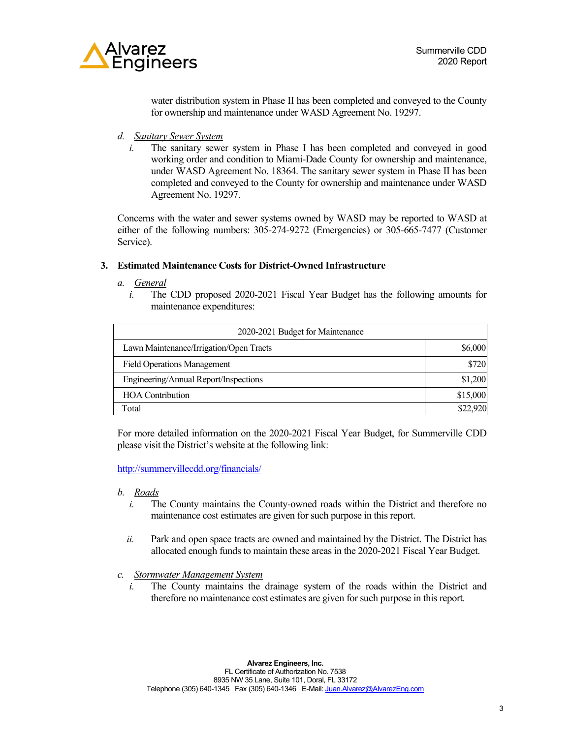

water distribution system in Phase II has been completed and conveyed to the County for ownership and maintenance under WASD Agreement No. 19297.

- *d. Sanitary Sewer System*
	- *i.* The sanitary sewer system in Phase I has been completed and conveyed in good working order and condition to Miami-Dade County for ownership and maintenance, under WASD Agreement No. 18364. The sanitary sewer system in Phase II has been completed and conveyed to the County for ownership and maintenance under WASD Agreement No. 19297.

Concerns with the water and sewer systems owned by WASD may be reported to WASD at either of the following numbers: 305-274-9272 (Emergencies) or 305-665-7477 (Customer Service).

### **3. Estimated Maintenance Costs for District-Owned Infrastructure**

- *a. General*
	- *i.* The CDD proposed 2020-2021 Fiscal Year Budget has the following amounts for maintenance expenditures:

| 2020-2021 Budget for Maintenance        |          |
|-----------------------------------------|----------|
| Lawn Maintenance/Irrigation/Open Tracts | \$6,000  |
| <b>Field Operations Management</b>      | \$720    |
| Engineering/Annual Report/Inspections   | \$1,200  |
| <b>HOA</b> Contribution                 | \$15,000 |
| Total                                   | \$22,920 |

For more detailed information on the 2020-2021 Fiscal Year Budget, for Summerville CDD please visit the District's website at the following link:

<http://summervillecdd.org/financials/>

- *b. Roads*
	- *i.* The County maintains the County-owned roads within the District and therefore no maintenance cost estimates are given for such purpose in this report.
	- *ii.* Park and open space tracts are owned and maintained by the District. The District has allocated enough funds to maintain these areas in the 2020-2021 Fiscal Year Budget.
- *c. Stormwater Management System*
	- *i.* The County maintains the drainage system of the roads within the District and therefore no maintenance cost estimates are given for such purpose in this report.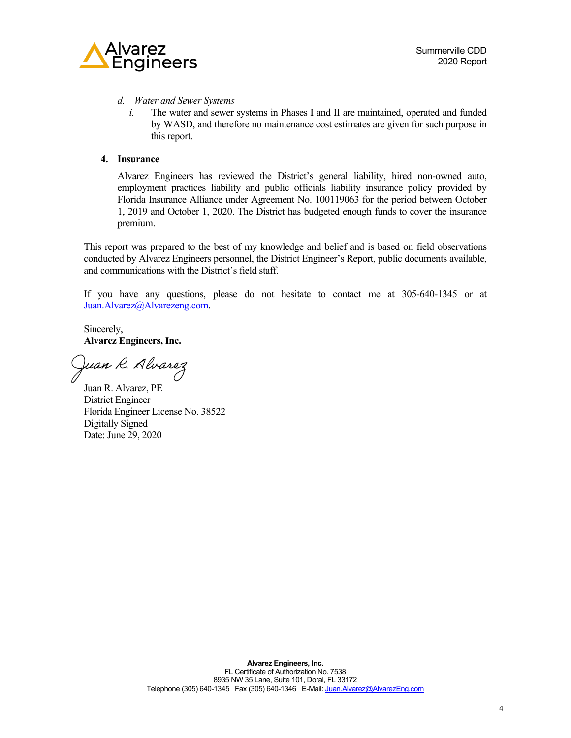

## *d. Water and Sewer Systems*

*i.* The water and sewer systems in Phases I and II are maintained, operated and funded by WASD, and therefore no maintenance cost estimates are given for such purpose in this report.

## **4. Insurance**

Alvarez Engineers has reviewed the District's general liability, hired non-owned auto, employment practices liability and public officials liability insurance policy provided by Florida Insurance Alliance under Agreement No. 100119063 for the period between October 1, 2019 and October 1, 2020. The District has budgeted enough funds to cover the insurance premium.

This report was prepared to the best of my knowledge and belief and is based on field observations conducted by Alvarez Engineers personnel, the District Engineer's Report, public documents available, and communications with the District's field staff.

If you have any questions, please do not hesitate to contact me at 305-640-1345 or at [Juan.Alvarez@Alvarezeng.com.](mailto:Juan.Alvarez@Alvarezeng.com) 

Sincerely, **Alvarez Engineers, Inc.**

Juan R. Alvarez

Juan R. Alvarez, PE District Engineer Florida Engineer License No. 38522 Digitally Signed Date: June 29, 2020